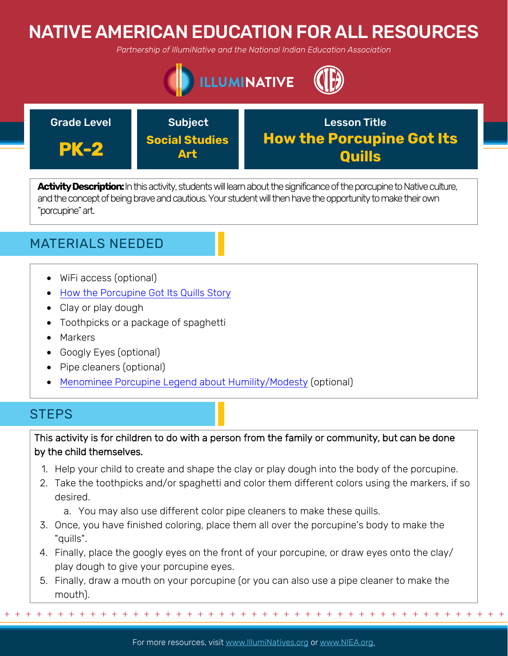# NATIVE AMERICAN EDUCATION FOR ALL RESOURCES

*Partnership of IllumiNative and the National Indian Education Association*





Activity Description: In this activity, students will learn about the significance of the porcupine to Native culture, and the concept of being brave and cautious. Your student will then have the opportunity to make their own "porcupine" art.

## MATERIALS NEEDED

- WiFi access (optional)
- [How the Porcupine Got Its Quills Story](http://nativeamericanliteratureblog2012.blogspot.com/2012/04/how-porcupine-got-his-quills.html)
- Clay or play dough
- Toothpicks or a package of spaghetti
- Markers
- Googly Eyes (optional)
- Pipe cleaners (optional)
- [Menominee Porcupine Legend about Humility/Modesty](http://web.archive.org/web/20080725025320/http://www.menominee.edu/Culturemain/2002Pages/MenomineeLegends.htm#How%20The%20Porcupine%20Got%20His%20Quills) (optional)

### **STEPS**

This activity is for children to do with a person from the family or community, but can be done by the child themselves.

- 1. Help your child to create and shape the clay or play dough into the body of the porcupine.
- 2. Take the toothpicks and/or spaghetti and color them different colors using the markers, if so desired.
	- a. You may also use different color pipe cleaners to make these quills.
- 3. Once, you have finished coloring, place them all over the porcupine's body to make the "quills".
- 4. Finally, place the googly eyes on the front of your porcupine, or draw eyes onto the clay/ play dough to give your porcupine eyes.
- 5. Finally, draw a mouth on your porcupine (or you can also use a pipe cleaner to make the mouth).

+ + + + + + + + + + + + + + + + + + + + + + + + + + + + + + + + + + + + + + + + + + + + + + + +